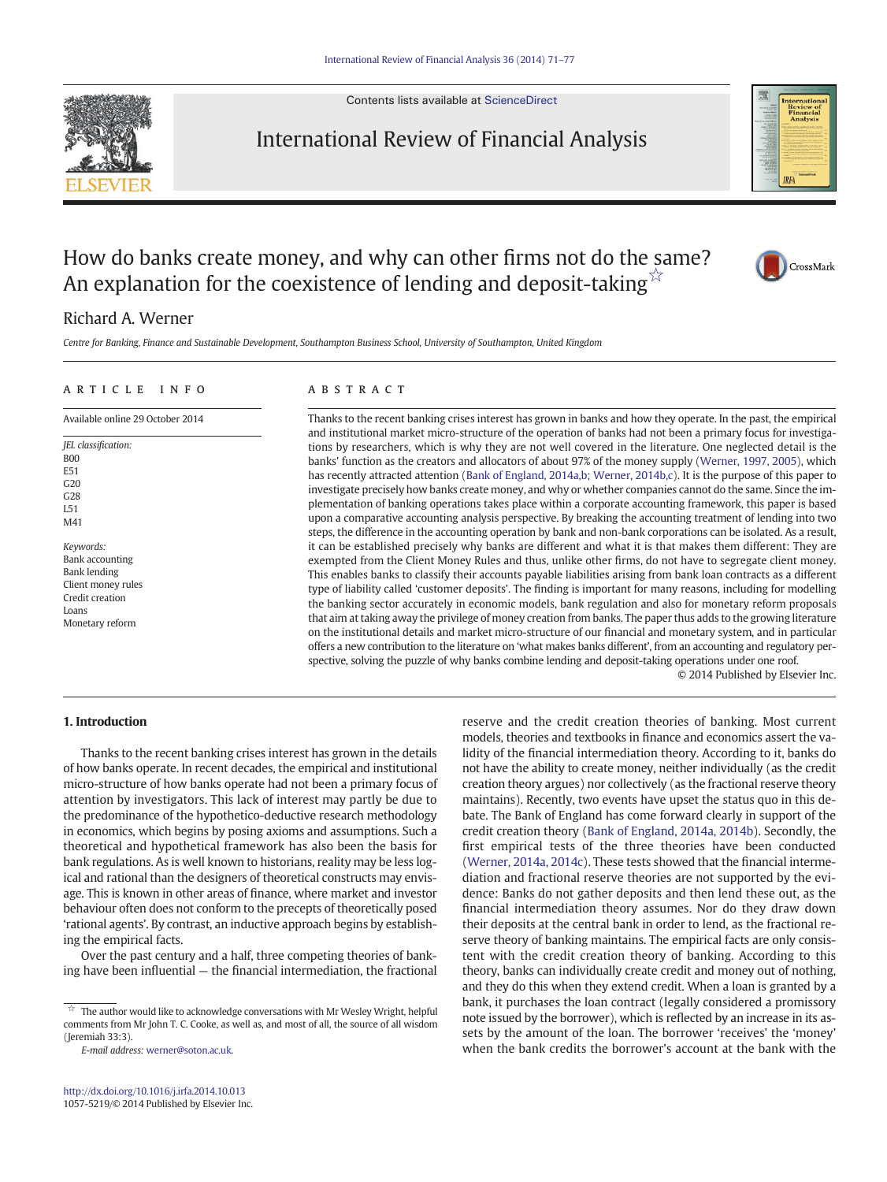Contents lists available at [ScienceDirect](http://www.sciencedirect.com/science/journal/10575219)



# International Review of Financial Analysis



# How do banks create money, and why can other firms not do the same? An explanation for the coexistence of lending and deposit-taking  $\hat{X}$



### Richard A. Werner

Centre for Banking, Finance and Sustainable Development, Southampton Business School, University of Southampton, United Kingdom

## article info abstract Available online 29 October 2014

JEL classification: B00 E51 G20 G28 L51 M41 Keywords: Bank accounting Bank lending Client money rules Credit creation Loans Monetary reform

Thanks to the recent banking crises interest has grown in banks and how they operate. In the past, the empirical and institutional market micro-structure of the operation of banks had not been a primary focus for investigations by researchers, which is why they are not well covered in the literature. One neglected detail is the banks' function as the creators and allocators of about 97% of the money supply [\(Werner, 1997, 2005\)](#page-6-0), which has recently attracted attention [\(Bank of England, 2014a,b; Werner, 2014b,c\)](#page-6-0). It is the purpose of this paper to investigate precisely how banks create money, and why or whether companies cannot do the same. Since the implementation of banking operations takes place within a corporate accounting framework, this paper is based upon a comparative accounting analysis perspective. By breaking the accounting treatment of lending into two steps, the difference in the accounting operation by bank and non-bank corporations can be isolated. As a result, it can be established precisely why banks are different and what it is that makes them different: They are exempted from the Client Money Rules and thus, unlike other firms, do not have to segregate client money. This enables banks to classify their accounts payable liabilities arising from bank loan contracts as a different type of liability called 'customer deposits'. The finding is important for many reasons, including for modelling the banking sector accurately in economic models, bank regulation and also for monetary reform proposals that aim at taking away the privilege of money creation from banks. The paper thus adds to the growing literature on the institutional details and market micro-structure of our financial and monetary system, and in particular offers a new contribution to the literature on 'what makes banks different', from an accounting and regulatory perspective, solving the puzzle of why banks combine lending and deposit-taking operations under one roof.

© 2014 Published by Elsevier Inc.

#### 1. Introduction

Thanks to the recent banking crises interest has grown in the details of how banks operate. In recent decades, the empirical and institutional micro-structure of how banks operate had not been a primary focus of attention by investigators. This lack of interest may partly be due to the predominance of the hypothetico-deductive research methodology in economics, which begins by posing axioms and assumptions. Such a theoretical and hypothetical framework has also been the basis for bank regulations. As is well known to historians, reality may be less logical and rational than the designers of theoretical constructs may envisage. This is known in other areas of finance, where market and investor behaviour often does not conform to the precepts of theoretically posed 'rational agents'. By contrast, an inductive approach begins by establishing the empirical facts.

Over the past century and a half, three competing theories of banking have been influential — the financial intermediation, the fractional

E-mail address: [werner@soton.ac.uk](mailto:werner@soton.ac.uk).

reserve and the credit creation theories of banking. Most current models, theories and textbooks in finance and economics assert the validity of the financial intermediation theory. According to it, banks do not have the ability to create money, neither individually (as the credit creation theory argues) nor collectively (as the fractional reserve theory maintains). Recently, two events have upset the status quo in this debate. The Bank of England has come forward clearly in support of the credit creation theory ([Bank of England, 2014a, 2014b\)](#page-6-0). Secondly, the first empirical tests of the three theories have been conducted [\(Werner, 2014a, 2014c\)](#page-6-0). These tests showed that the financial intermediation and fractional reserve theories are not supported by the evidence: Banks do not gather deposits and then lend these out, as the financial intermediation theory assumes. Nor do they draw down their deposits at the central bank in order to lend, as the fractional reserve theory of banking maintains. The empirical facts are only consistent with the credit creation theory of banking. According to this theory, banks can individually create credit and money out of nothing, and they do this when they extend credit. When a loan is granted by a bank, it purchases the loan contract (legally considered a promissory note issued by the borrower), which is reflected by an increase in its assets by the amount of the loan. The borrower 'receives' the 'money' when the bank credits the borrower's account at the bank with the

 $\overrightarrow{x}$  The author would like to acknowledge conversations with Mr Wesley Wright, helpful comments from Mr John T. C. Cooke, as well as, and most of all, the source of all wisdom (Jeremiah 33:3).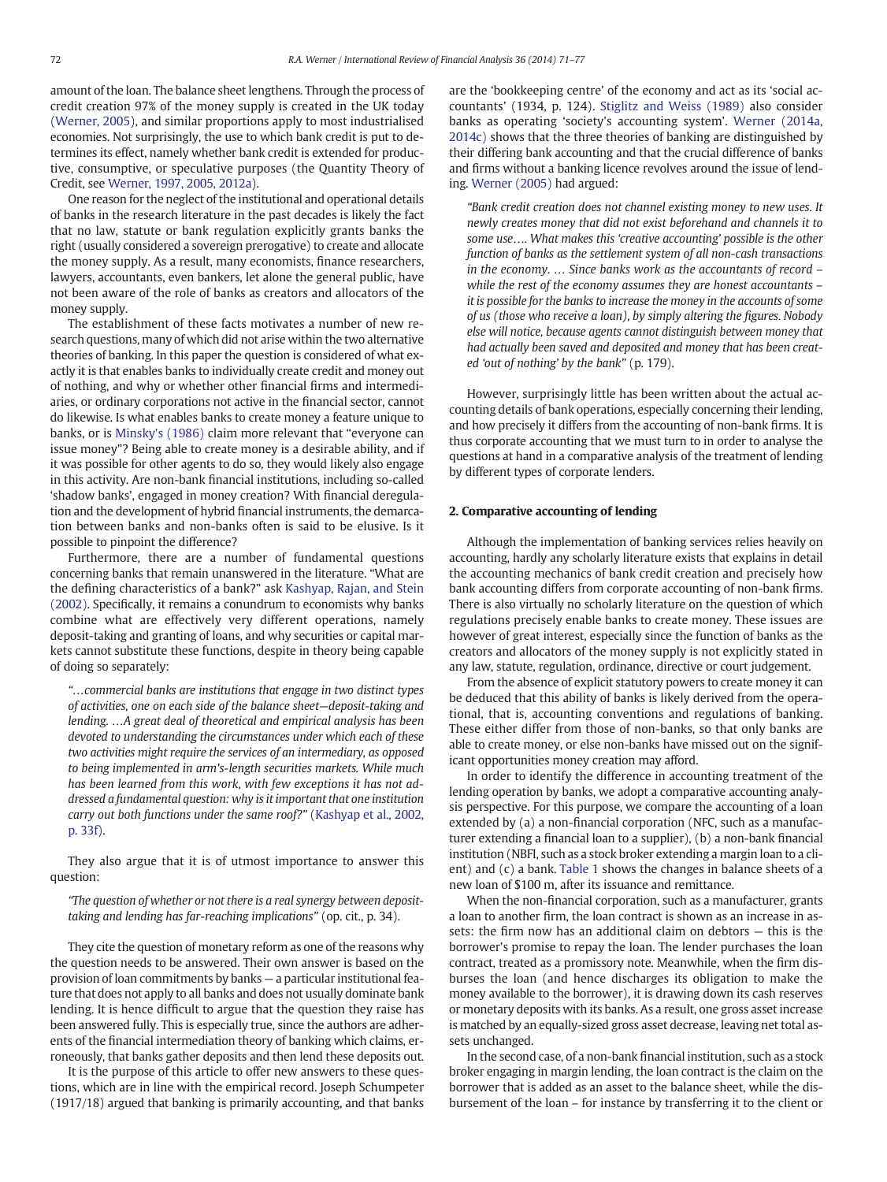amount of the loan. The balance sheet lengthens. Through the process of credit creation 97% of the money supply is created in the UK today [\(Werner, 2005](#page-6-0)), and similar proportions apply to most industrialised economies. Not surprisingly, the use to which bank credit is put to determines its effect, namely whether bank credit is extended for productive, consumptive, or speculative purposes (the Quantity Theory of Credit, see [Werner, 1997, 2005, 2012a\)](#page-6-0).

One reason for the neglect of the institutional and operational details of banks in the research literature in the past decades is likely the fact that no law, statute or bank regulation explicitly grants banks the right (usually considered a sovereign prerogative) to create and allocate the money supply. As a result, many economists, finance researchers, lawyers, accountants, even bankers, let alone the general public, have not been aware of the role of banks as creators and allocators of the money supply.

The establishment of these facts motivates a number of new research questions, many of which did not arise within the two alternative theories of banking. In this paper the question is considered of what exactly it is that enables banks to individually create credit and money out of nothing, and why or whether other financial firms and intermediaries, or ordinary corporations not active in the financial sector, cannot do likewise. Is what enables banks to create money a feature unique to banks, or is [Minsky's \(1986\)](#page-6-0) claim more relevant that "everyone can issue money"? Being able to create money is a desirable ability, and if it was possible for other agents to do so, they would likely also engage in this activity. Are non-bank financial institutions, including so-called 'shadow banks', engaged in money creation? With financial deregulation and the development of hybrid financial instruments, the demarcation between banks and non-banks often is said to be elusive. Is it possible to pinpoint the difference?

Furthermore, there are a number of fundamental questions concerning banks that remain unanswered in the literature. "What are the defining characteristics of a bank?" ask [Kashyap, Rajan, and Stein](#page-6-0) [\(2002\).](#page-6-0) Specifically, it remains a conundrum to economists why banks combine what are effectively very different operations, namely deposit-taking and granting of loans, and why securities or capital markets cannot substitute these functions, despite in theory being capable of doing so separately:

"…commercial banks are institutions that engage in two distinct types of activities, one on each side of the balance sheet—deposit-taking and lending. …A great deal of theoretical and empirical analysis has been devoted to understanding the circumstances under which each of these two activities might require the services of an intermediary, as opposed to being implemented in arm's-length securities markets. While much has been learned from this work, with few exceptions it has not addressed a fundamental question: why is it important that one institution carry out both functions under the same roof?" ([Kashyap et al., 2002,](#page-6-0) [p. 33f\)](#page-6-0).

They also argue that it is of utmost importance to answer this question:

"The question of whether or not there is a real synergy between deposittaking and lending has far-reaching implications" (op. cit., p. 34).

They cite the question of monetary reform as one of the reasons why the question needs to be answered. Their own answer is based on the provision of loan commitments by banks — a particular institutional feature that does not apply to all banks and does not usually dominate bank lending. It is hence difficult to argue that the question they raise has been answered fully. This is especially true, since the authors are adherents of the financial intermediation theory of banking which claims, erroneously, that banks gather deposits and then lend these deposits out.

It is the purpose of this article to offer new answers to these questions, which are in line with the empirical record. Joseph Schumpeter (1917/18) argued that banking is primarily accounting, and that banks are the 'bookkeeping centre' of the economy and act as its 'social accountants' (1934, p. 124). [Stiglitz and Weiss \(1989\)](#page-6-0) also consider banks as operating 'society's accounting system'. [Werner \(2014a,](#page-6-0) [2014c\)](#page-6-0) shows that the three theories of banking are distinguished by their differing bank accounting and that the crucial difference of banks and firms without a banking licence revolves around the issue of lending. [Werner \(2005\)](#page-6-0) had argued:

"Bank credit creation does not channel existing money to new uses. It newly creates money that did not exist beforehand and channels it to some use…. What makes this 'creative accounting' possible is the other function of banks as the settlement system of all non-cash transactions in the economy. … Since banks work as the accountants of record – while the rest of the economy assumes they are honest accountants – it is possible for the banks to increase the money in the accounts of some of us (those who receive a loan), by simply altering the figures. Nobody else will notice, because agents cannot distinguish between money that had actually been saved and deposited and money that has been created 'out of nothing' by the bank" (p. 179).

However, surprisingly little has been written about the actual accounting details of bank operations, especially concerning their lending, and how precisely it differs from the accounting of non-bank firms. It is thus corporate accounting that we must turn to in order to analyse the questions at hand in a comparative analysis of the treatment of lending by different types of corporate lenders.

#### 2. Comparative accounting of lending

Although the implementation of banking services relies heavily on accounting, hardly any scholarly literature exists that explains in detail the accounting mechanics of bank credit creation and precisely how bank accounting differs from corporate accounting of non-bank firms. There is also virtually no scholarly literature on the question of which regulations precisely enable banks to create money. These issues are however of great interest, especially since the function of banks as the creators and allocators of the money supply is not explicitly stated in any law, statute, regulation, ordinance, directive or court judgement.

From the absence of explicit statutory powers to create money it can be deduced that this ability of banks is likely derived from the operational, that is, accounting conventions and regulations of banking. These either differ from those of non-banks, so that only banks are able to create money, or else non-banks have missed out on the significant opportunities money creation may afford.

In order to identify the difference in accounting treatment of the lending operation by banks, we adopt a comparative accounting analysis perspective. For this purpose, we compare the accounting of a loan extended by (a) a non-financial corporation (NFC, such as a manufacturer extending a financial loan to a supplier), (b) a non-bank financial institution (NBFI, such as a stock broker extending a margin loan to a client) and (c) a bank. [Table 1](#page-2-0) shows the changes in balance sheets of a new loan of \$100 m, after its issuance and remittance.

When the non-financial corporation, such as a manufacturer, grants a loan to another firm, the loan contract is shown as an increase in assets: the firm now has an additional claim on debtors — this is the borrower's promise to repay the loan. The lender purchases the loan contract, treated as a promissory note. Meanwhile, when the firm disburses the loan (and hence discharges its obligation to make the money available to the borrower), it is drawing down its cash reserves or monetary deposits with its banks. As a result, one gross asset increase is matched by an equally-sized gross asset decrease, leaving net total assets unchanged.

In the second case, of a non-bank financial institution, such as a stock broker engaging in margin lending, the loan contract is the claim on the borrower that is added as an asset to the balance sheet, while the disbursement of the loan – for instance by transferring it to the client or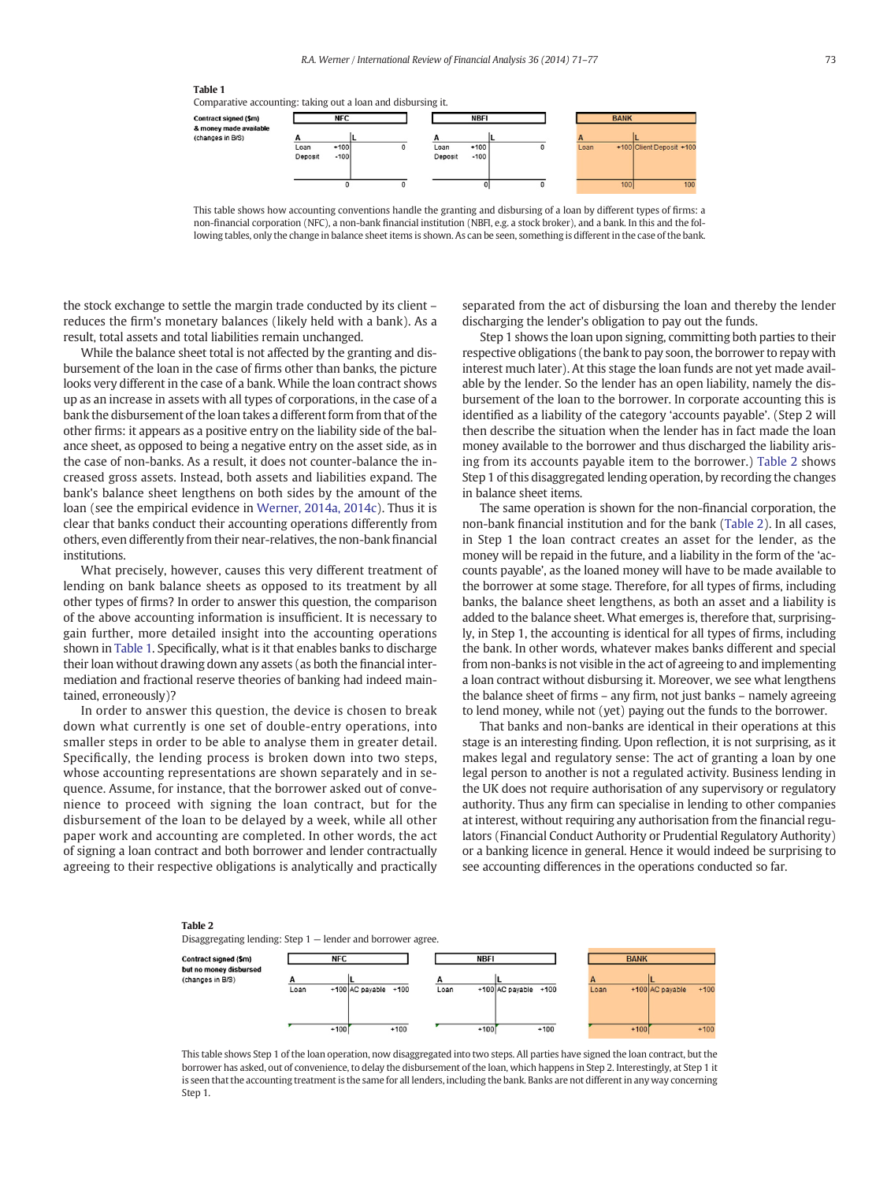<span id="page-2-0"></span>

This table shows how accounting conventions handle the granting and disbursing of a loan by different types of firms: a non-financial corporation (NFC), a non-bank financial institution (NBFI, e.g. a stock broker), and a bank. In this and the following tables, only the change in balance sheet items is shown. As can be seen, something is different in the case of the bank.

the stock exchange to settle the margin trade conducted by its client – reduces the firm's monetary balances (likely held with a bank). As a result, total assets and total liabilities remain unchanged.

While the balance sheet total is not affected by the granting and disbursement of the loan in the case of firms other than banks, the picture looks very different in the case of a bank. While the loan contract shows up as an increase in assets with all types of corporations, in the case of a bank the disbursement of the loan takes a different form from that of the other firms: it appears as a positive entry on the liability side of the balance sheet, as opposed to being a negative entry on the asset side, as in the case of non-banks. As a result, it does not counter-balance the increased gross assets. Instead, both assets and liabilities expand. The bank's balance sheet lengthens on both sides by the amount of the loan (see the empirical evidence in [Werner, 2014a, 2014c](#page-6-0)). Thus it is clear that banks conduct their accounting operations differently from others, even differently from their near-relatives, the non-bank financial institutions.

What precisely, however, causes this very different treatment of lending on bank balance sheets as opposed to its treatment by all other types of firms? In order to answer this question, the comparison of the above accounting information is insufficient. It is necessary to gain further, more detailed insight into the accounting operations shown in Table 1. Specifically, what is it that enables banks to discharge their loan without drawing down any assets (as both the financial intermediation and fractional reserve theories of banking had indeed maintained, erroneously)?

In order to answer this question, the device is chosen to break down what currently is one set of double-entry operations, into smaller steps in order to be able to analyse them in greater detail. Specifically, the lending process is broken down into two steps, whose accounting representations are shown separately and in sequence. Assume, for instance, that the borrower asked out of convenience to proceed with signing the loan contract, but for the disbursement of the loan to be delayed by a week, while all other paper work and accounting are completed. In other words, the act of signing a loan contract and both borrower and lender contractually agreeing to their respective obligations is analytically and practically

separated from the act of disbursing the loan and thereby the lender discharging the lender's obligation to pay out the funds.

Step 1 shows the loan upon signing, committing both parties to their respective obligations (the bank to pay soon, the borrower to repay with interest much later). At this stage the loan funds are not yet made available by the lender. So the lender has an open liability, namely the disbursement of the loan to the borrower. In corporate accounting this is identified as a liability of the category 'accounts payable'. (Step 2 will then describe the situation when the lender has in fact made the loan money available to the borrower and thus discharged the liability arising from its accounts payable item to the borrower.) Table 2 shows Step 1 of this disaggregated lending operation, by recording the changes in balance sheet items.

The same operation is shown for the non-financial corporation, the non-bank financial institution and for the bank (Table 2). In all cases, in Step 1 the loan contract creates an asset for the lender, as the money will be repaid in the future, and a liability in the form of the 'accounts payable', as the loaned money will have to be made available to the borrower at some stage. Therefore, for all types of firms, including banks, the balance sheet lengthens, as both an asset and a liability is added to the balance sheet. What emerges is, therefore that, surprisingly, in Step 1, the accounting is identical for all types of firms, including the bank. In other words, whatever makes banks different and special from non-banks is not visible in the act of agreeing to and implementing a loan contract without disbursing it. Moreover, we see what lengthens the balance sheet of firms – any firm, not just banks – namely agreeing to lend money, while not (yet) paying out the funds to the borrower.

That banks and non-banks are identical in their operations at this stage is an interesting finding. Upon reflection, it is not surprising, as it makes legal and regulatory sense: The act of granting a loan by one legal person to another is not a regulated activity. Business lending in the UK does not require authorisation of any supervisory or regulatory authority. Thus any firm can specialise in lending to other companies at interest, without requiring any authorisation from the financial regulators (Financial Conduct Authority or Prudential Regulatory Authority) or a banking licence in general. Hence it would indeed be surprising to see accounting differences in the operations conducted so far.

#### Table 2 Disaggregating lending: Step 1 — lender and borrower agree.



This table shows Step 1 of the loan operation, now disaggregated into two steps. All parties have signed the loan contract, but the borrower has asked, out of convenience, to delay the disbursement of the loan, which happens in Step 2. Interestingly, at Step 1 it is seen that the accounting treatment is the same for all lenders, including the bank. Banks are not different in any way concerning Step 1.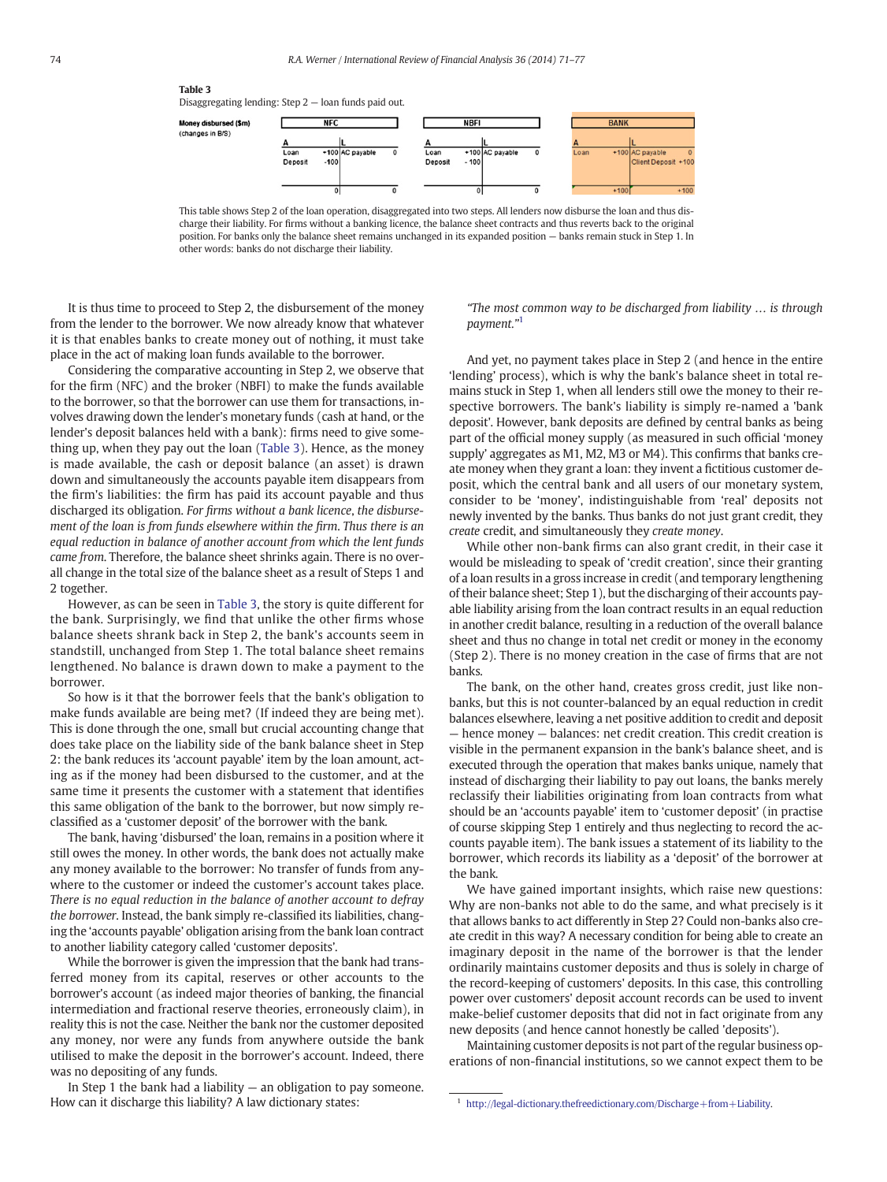### Table 3





This table shows Step 2 of the loan operation, disaggregated into two steps. All lenders now disburse the loan and thus discharge their liability. For firms without a banking licence, the balance sheet contracts and thus reverts back to the original position. For banks only the balance sheet remains unchanged in its expanded position — banks remain stuck in Step 1. In other words: banks do not discharge their liability.

It is thus time to proceed to Step 2, the disbursement of the money from the lender to the borrower. We now already know that whatever it is that enables banks to create money out of nothing, it must take place in the act of making loan funds available to the borrower.

Considering the comparative accounting in Step 2, we observe that for the firm (NFC) and the broker (NBFI) to make the funds available to the borrower, so that the borrower can use them for transactions, involves drawing down the lender's monetary funds (cash at hand, or the lender's deposit balances held with a bank): firms need to give something up, when they pay out the loan (Table 3). Hence, as the money is made available, the cash or deposit balance (an asset) is drawn down and simultaneously the accounts payable item disappears from the firm's liabilities: the firm has paid its account payable and thus discharged its obligation. For firms without a bank licence, the disbursement of the loan is from funds elsewhere within the firm. Thus there is an equal reduction in balance of another account from which the lent funds came from. Therefore, the balance sheet shrinks again. There is no overall change in the total size of the balance sheet as a result of Steps 1 and 2 together.

However, as can be seen in Table 3, the story is quite different for the bank. Surprisingly, we find that unlike the other firms whose balance sheets shrank back in Step 2, the bank's accounts seem in standstill, unchanged from Step 1. The total balance sheet remains lengthened. No balance is drawn down to make a payment to the borrower.

So how is it that the borrower feels that the bank's obligation to make funds available are being met? (If indeed they are being met). This is done through the one, small but crucial accounting change that does take place on the liability side of the bank balance sheet in Step 2: the bank reduces its 'account payable' item by the loan amount, acting as if the money had been disbursed to the customer, and at the same time it presents the customer with a statement that identifies this same obligation of the bank to the borrower, but now simply reclassified as a 'customer deposit' of the borrower with the bank.

The bank, having 'disbursed' the loan, remains in a position where it still owes the money. In other words, the bank does not actually make any money available to the borrower: No transfer of funds from anywhere to the customer or indeed the customer's account takes place. There is no equal reduction in the balance of another account to defray the borrower. Instead, the bank simply re-classified its liabilities, changing the 'accounts payable' obligation arising from the bank loan contract to another liability category called 'customer deposits'.

While the borrower is given the impression that the bank had transferred money from its capital, reserves or other accounts to the borrower's account (as indeed major theories of banking, the financial intermediation and fractional reserve theories, erroneously claim), in reality this is not the case. Neither the bank nor the customer deposited any money, nor were any funds from anywhere outside the bank utilised to make the deposit in the borrower's account. Indeed, there was no depositing of any funds.

In Step 1 the bank had a liability  $-$  an obligation to pay someone. How can it discharge this liability? A law dictionary states:

"The most common way to be discharged from liability … is through payment."<sup>1</sup>

And yet, no payment takes place in Step 2 (and hence in the entire 'lending' process), which is why the bank's balance sheet in total remains stuck in Step 1, when all lenders still owe the money to their respective borrowers. The bank's liability is simply re-named a 'bank deposit'. However, bank deposits are defined by central banks as being part of the official money supply (as measured in such official 'money supply' aggregates as M1, M2, M3 or M4). This confirms that banks create money when they grant a loan: they invent a fictitious customer deposit, which the central bank and all users of our monetary system, consider to be 'money', indistinguishable from 'real' deposits not newly invented by the banks. Thus banks do not just grant credit, they create credit, and simultaneously they create money.

While other non-bank firms can also grant credit, in their case it would be misleading to speak of 'credit creation', since their granting of a loan results in a gross increase in credit (and temporary lengthening of their balance sheet; Step 1), but the discharging of their accounts payable liability arising from the loan contract results in an equal reduction in another credit balance, resulting in a reduction of the overall balance sheet and thus no change in total net credit or money in the economy (Step 2). There is no money creation in the case of firms that are not banks.

The bank, on the other hand, creates gross credit, just like nonbanks, but this is not counter-balanced by an equal reduction in credit balances elsewhere, leaving a net positive addition to credit and deposit — hence money — balances: net credit creation. This credit creation is visible in the permanent expansion in the bank's balance sheet, and is executed through the operation that makes banks unique, namely that instead of discharging their liability to pay out loans, the banks merely reclassify their liabilities originating from loan contracts from what should be an 'accounts payable' item to 'customer deposit' (in practise of course skipping Step 1 entirely and thus neglecting to record the accounts payable item). The bank issues a statement of its liability to the borrower, which records its liability as a 'deposit' of the borrower at the bank.

We have gained important insights, which raise new questions: Why are non-banks not able to do the same, and what precisely is it that allows banks to act differently in Step 2? Could non-banks also create credit in this way? A necessary condition for being able to create an imaginary deposit in the name of the borrower is that the lender ordinarily maintains customer deposits and thus is solely in charge of the record-keeping of customers' deposits. In this case, this controlling power over customers' deposit account records can be used to invent make-belief customer deposits that did not in fact originate from any new deposits (and hence cannot honestly be called 'deposits').

Maintaining customer deposits is not part of the regular business operations of non-financial institutions, so we cannot expect them to be

<sup>1</sup> [http://legal-dictionary.thefreedictionary.com/Discharge+from+Liability.](http://dx.doi.org/10.1016/j.irfa.2012.06.002)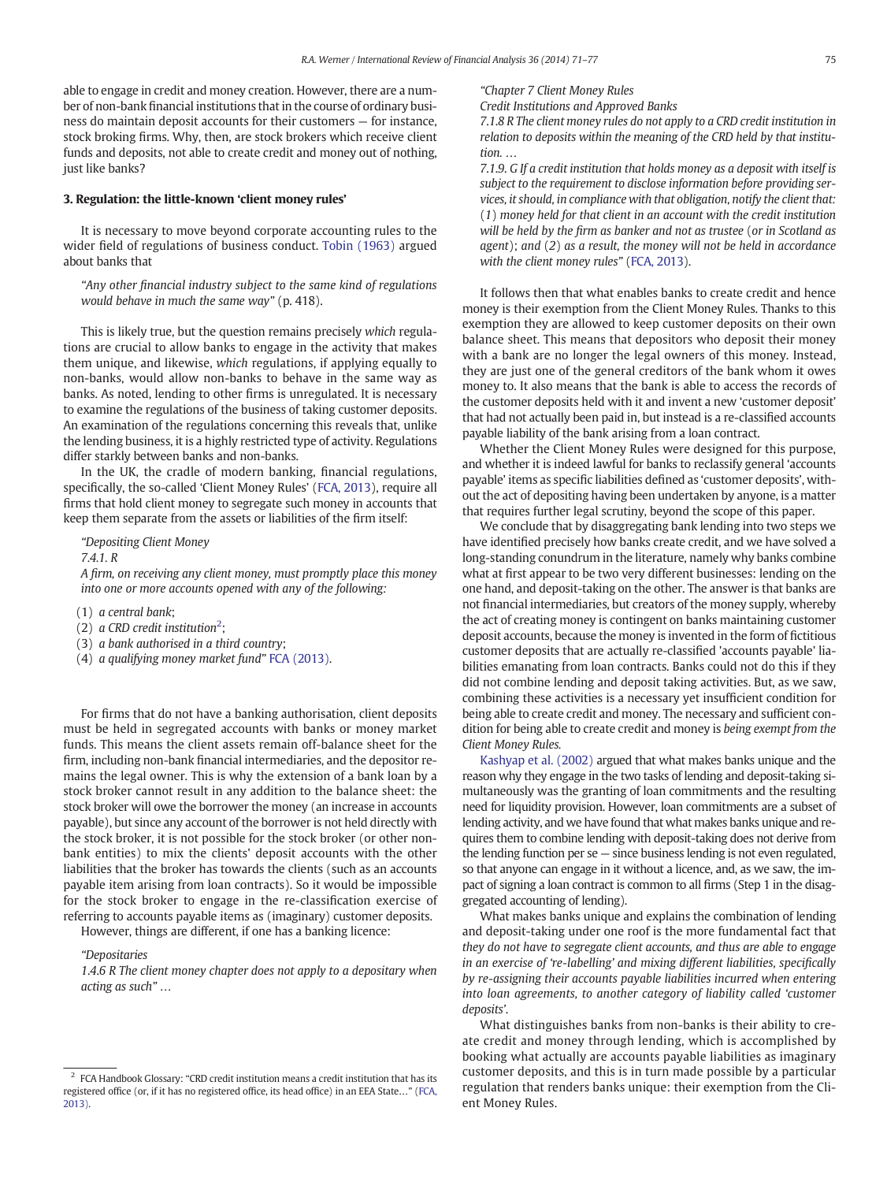able to engage in credit and money creation. However, there are a number of non-bank financial institutions that in the course of ordinary business do maintain deposit accounts for their customers — for instance, stock broking firms. Why, then, are stock brokers which receive client funds and deposits, not able to create credit and money out of nothing, just like banks?

#### 3. Regulation: the little-known 'client money rules'

It is necessary to move beyond corporate accounting rules to the wider field of regulations of business conduct. [Tobin \(1963\)](#page-6-0) argued about banks that

"Any other financial industry subject to the same kind of regulations would behave in much the same way" (p. 418).

This is likely true, but the question remains precisely which regulations are crucial to allow banks to engage in the activity that makes them unique, and likewise, which regulations, if applying equally to non-banks, would allow non-banks to behave in the same way as banks. As noted, lending to other firms is unregulated. It is necessary to examine the regulations of the business of taking customer deposits. An examination of the regulations concerning this reveals that, unlike the lending business, it is a highly restricted type of activity. Regulations differ starkly between banks and non-banks.

In the UK, the cradle of modern banking, financial regulations, specifically, the so-called 'Client Money Rules' [\(FCA, 2013](#page-6-0)), require all firms that hold client money to segregate such money in accounts that keep them separate from the assets or liabilities of the firm itself:

"Depositing Client Money

```
7.4.1. R
```
A firm, on receiving any client money, must promptly place this money into one or more accounts opened with any of the following:

- (1) a central bank;
- (2)  $a$  CRD credit institution<sup>2</sup>;
- (3) a bank authorised in a third country;
- (4) a qualifying money market fund" [FCA \(2013\)](#page-6-0).

For firms that do not have a banking authorisation, client deposits must be held in segregated accounts with banks or money market funds. This means the client assets remain off-balance sheet for the firm, including non-bank financial intermediaries, and the depositor remains the legal owner. This is why the extension of a bank loan by a stock broker cannot result in any addition to the balance sheet: the stock broker will owe the borrower the money (an increase in accounts payable), but since any account of the borrower is not held directly with the stock broker, it is not possible for the stock broker (or other nonbank entities) to mix the clients' deposit accounts with the other liabilities that the broker has towards the clients (such as an accounts payable item arising from loan contracts). So it would be impossible for the stock broker to engage in the re-classification exercise of referring to accounts payable items as (imaginary) customer deposits.

However, things are different, if one has a banking licence:

#### "Depositaries

1.4.6 R The client money chapter does not apply to a depositary when acting as such" …

"Chapter 7 Client Money Rules

Credit Institutions and Approved Banks

7.1.8 R The client money rules do not apply to a CRD credit institution in relation to deposits within the meaning of the CRD held by that institution. …

7.1.9. G If a credit institution that holds money as a deposit with itself is subject to the requirement to disclose information before providing services, it should, in compliance with that obligation, notify the client that: (1) money held for that client in an account with the credit institution will be held by the firm as banker and not as trustee (or in Scotland as agent); and (2) as a result, the money will not be held in accordance with the client money rules" ([FCA, 2013](#page-6-0)).

It follows then that what enables banks to create credit and hence money is their exemption from the Client Money Rules. Thanks to this exemption they are allowed to keep customer deposits on their own balance sheet. This means that depositors who deposit their money with a bank are no longer the legal owners of this money. Instead, they are just one of the general creditors of the bank whom it owes money to. It also means that the bank is able to access the records of the customer deposits held with it and invent a new 'customer deposit' that had not actually been paid in, but instead is a re-classified accounts payable liability of the bank arising from a loan contract.

Whether the Client Money Rules were designed for this purpose, and whether it is indeed lawful for banks to reclassify general 'accounts payable' items as specific liabilities defined as 'customer deposits', without the act of depositing having been undertaken by anyone, is a matter that requires further legal scrutiny, beyond the scope of this paper.

We conclude that by disaggregating bank lending into two steps we have identified precisely how banks create credit, and we have solved a long-standing conundrum in the literature, namely why banks combine what at first appear to be two very different businesses: lending on the one hand, and deposit-taking on the other. The answer is that banks are not financial intermediaries, but creators of the money supply, whereby the act of creating money is contingent on banks maintaining customer deposit accounts, because the money is invented in the form of fictitious customer deposits that are actually re-classified 'accounts payable' liabilities emanating from loan contracts. Banks could not do this if they did not combine lending and deposit taking activities. But, as we saw, combining these activities is a necessary yet insufficient condition for being able to create credit and money. The necessary and sufficient condition for being able to create credit and money is being exempt from the Client Money Rules.

[Kashyap et al. \(2002\)](#page-6-0) argued that what makes banks unique and the reason why they engage in the two tasks of lending and deposit-taking simultaneously was the granting of loan commitments and the resulting need for liquidity provision. However, loan commitments are a subset of lending activity, and we have found that what makes banks unique and requires them to combine lending with deposit-taking does not derive from the lending function per se — since business lending is not even regulated, so that anyone can engage in it without a licence, and, as we saw, the impact of signing a loan contract is common to all firms (Step 1 in the disaggregated accounting of lending).

What makes banks unique and explains the combination of lending and deposit-taking under one roof is the more fundamental fact that they do not have to segregate client accounts, and thus are able to engage in an exercise of 're-labelling' and mixing different liabilities, specifically by re-assigning their accounts payable liabilities incurred when entering into loan agreements, to another category of liability called 'customer deposits'.

What distinguishes banks from non-banks is their ability to create credit and money through lending, which is accomplished by booking what actually are accounts payable liabilities as imaginary customer deposits, and this is in turn made possible by a particular regulation that renders banks unique: their exemption from the Client Money Rules.

 $2$  FCA Handbook Glossary: "CRD credit institution means a credit institution that has its registered office (or, if it has no registered office, its head office) in an EEA State…" [\(FCA,](#page-6-0) [2013\)](#page-6-0).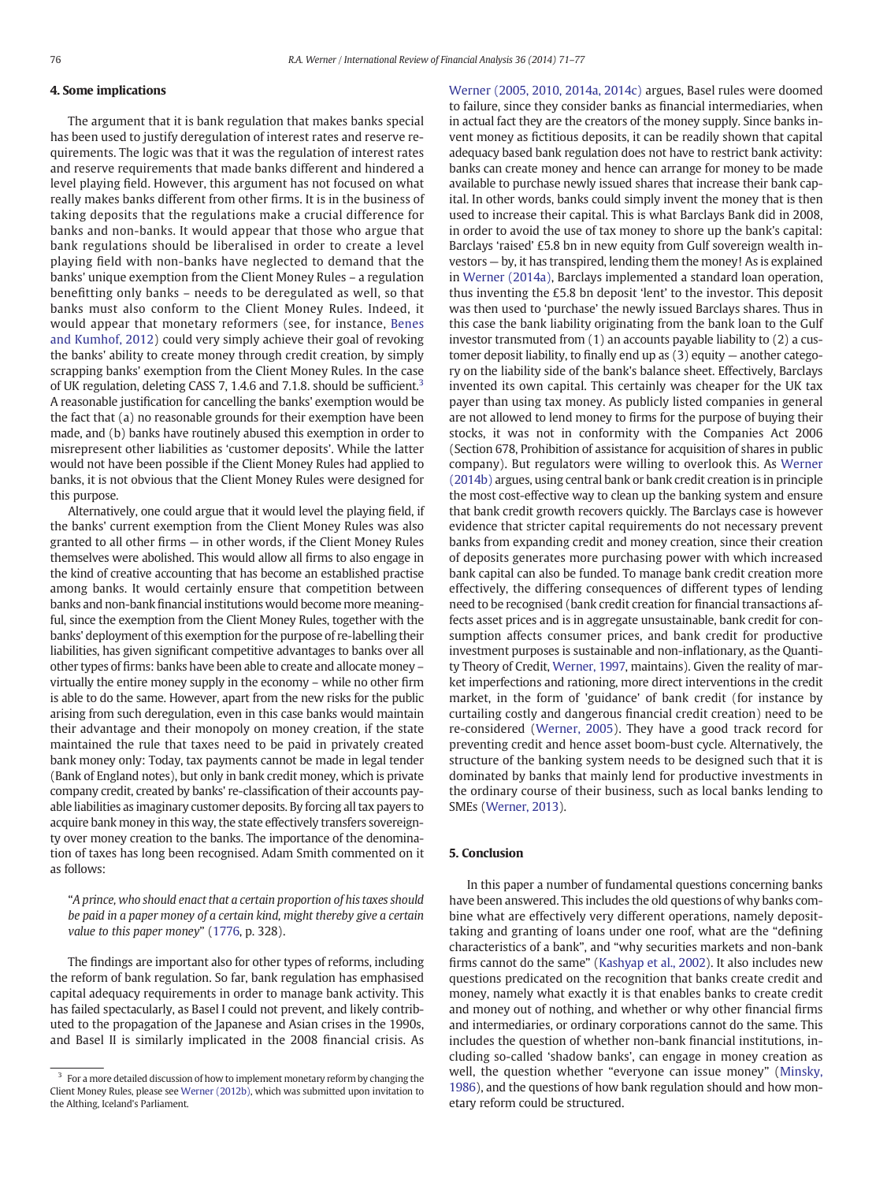#### 4. Some implications

The argument that it is bank regulation that makes banks special has been used to justify deregulation of interest rates and reserve requirements. The logic was that it was the regulation of interest rates and reserve requirements that made banks different and hindered a level playing field. However, this argument has not focused on what really makes banks different from other firms. It is in the business of taking deposits that the regulations make a crucial difference for banks and non-banks. It would appear that those who argue that bank regulations should be liberalised in order to create a level playing field with non-banks have neglected to demand that the banks' unique exemption from the Client Money Rules – a regulation benefitting only banks – needs to be deregulated as well, so that banks must also conform to the Client Money Rules. Indeed, it would appear that monetary reformers (see, for instance, [Benes](#page-6-0) [and Kumhof, 2012](#page-6-0)) could very simply achieve their goal of revoking the banks' ability to create money through credit creation, by simply scrapping banks' exemption from the Client Money Rules. In the case of UK regulation, deleting CASS 7, 1.4.6 and 7.1.8. should be sufficient.<sup>3</sup> A reasonable justification for cancelling the banks' exemption would be the fact that (a) no reasonable grounds for their exemption have been made, and (b) banks have routinely abused this exemption in order to misrepresent other liabilities as 'customer deposits'. While the latter would not have been possible if the Client Money Rules had applied to banks, it is not obvious that the Client Money Rules were designed for this purpose.

Alternatively, one could argue that it would level the playing field, if the banks' current exemption from the Client Money Rules was also granted to all other firms — in other words, if the Client Money Rules themselves were abolished. This would allow all firms to also engage in the kind of creative accounting that has become an established practise among banks. It would certainly ensure that competition between banks and non-bank financial institutions would become more meaningful, since the exemption from the Client Money Rules, together with the banks' deployment of this exemption for the purpose of re-labelling their liabilities, has given significant competitive advantages to banks over all other types of firms: banks have been able to create and allocate money – virtually the entire money supply in the economy – while no other firm is able to do the same. However, apart from the new risks for the public arising from such deregulation, even in this case banks would maintain their advantage and their monopoly on money creation, if the state maintained the rule that taxes need to be paid in privately created bank money only: Today, tax payments cannot be made in legal tender (Bank of England notes), but only in bank credit money, which is private company credit, created by banks' re-classification of their accounts payable liabilities as imaginary customer deposits. By forcing all tax payers to acquire bank money in this way, the state effectively transfers sovereignty over money creation to the banks. The importance of the denomination of taxes has long been recognised. Adam Smith commented on it as follows:

"A prince, who should enact that a certain proportion of his taxes should be paid in a paper money of a certain kind, might thereby give a certain value to this paper money" [\(1776,](#page-6-0) p. 328).

The findings are important also for other types of reforms, including the reform of bank regulation. So far, bank regulation has emphasised capital adequacy requirements in order to manage bank activity. This has failed spectacularly, as Basel I could not prevent, and likely contributed to the propagation of the Japanese and Asian crises in the 1990s, and Basel II is similarly implicated in the 2008 financial crisis. As [Werner \(2005, 2010, 2014a, 2014c\)](#page-6-0) argues, Basel rules were doomed to failure, since they consider banks as financial intermediaries, when in actual fact they are the creators of the money supply. Since banks invent money as fictitious deposits, it can be readily shown that capital adequacy based bank regulation does not have to restrict bank activity: banks can create money and hence can arrange for money to be made available to purchase newly issued shares that increase their bank capital. In other words, banks could simply invent the money that is then used to increase their capital. This is what Barclays Bank did in 2008, in order to avoid the use of tax money to shore up the bank's capital: Barclays 'raised' £5.8 bn in new equity from Gulf sovereign wealth investors — by, it has transpired, lending them the money! As is explained in [Werner \(2014a\)](#page-6-0), Barclays implemented a standard loan operation, thus inventing the £5.8 bn deposit 'lent' to the investor. This deposit was then used to 'purchase' the newly issued Barclays shares. Thus in this case the bank liability originating from the bank loan to the Gulf investor transmuted from (1) an accounts payable liability to (2) a customer deposit liability, to finally end up as (3) equity — another category on the liability side of the bank's balance sheet. Effectively, Barclays invented its own capital. This certainly was cheaper for the UK tax payer than using tax money. As publicly listed companies in general are not allowed to lend money to firms for the purpose of buying their stocks, it was not in conformity with the Companies Act 2006 (Section 678, Prohibition of assistance for acquisition of shares in public company). But regulators were willing to overlook this. As [Werner](#page-6-0) [\(2014b\)](#page-6-0) argues, using central bank or bank credit creation is in principle the most cost-effective way to clean up the banking system and ensure that bank credit growth recovers quickly. The Barclays case is however evidence that stricter capital requirements do not necessary prevent banks from expanding credit and money creation, since their creation of deposits generates more purchasing power with which increased bank capital can also be funded. To manage bank credit creation more effectively, the differing consequences of different types of lending need to be recognised (bank credit creation for financial transactions affects asset prices and is in aggregate unsustainable, bank credit for consumption affects consumer prices, and bank credit for productive investment purposes is sustainable and non-inflationary, as the Quantity Theory of Credit, [Werner, 1997,](#page-6-0) maintains). Given the reality of market imperfections and rationing, more direct interventions in the credit market, in the form of 'guidance' of bank credit (for instance by curtailing costly and dangerous financial credit creation) need to be re-considered ([Werner, 2005\)](#page-6-0). They have a good track record for preventing credit and hence asset boom-bust cycle. Alternatively, the structure of the banking system needs to be designed such that it is dominated by banks that mainly lend for productive investments in the ordinary course of their business, such as local banks lending to SMEs [\(Werner, 2013](#page-6-0)).

#### 5. Conclusion

In this paper a number of fundamental questions concerning banks have been answered. This includes the old questions of why banks combine what are effectively very different operations, namely deposittaking and granting of loans under one roof, what are the "defining characteristics of a bank", and "why securities markets and non-bank firms cannot do the same" [\(Kashyap et al., 2002\)](#page-6-0). It also includes new questions predicated on the recognition that banks create credit and money, namely what exactly it is that enables banks to create credit and money out of nothing, and whether or why other financial firms and intermediaries, or ordinary corporations cannot do the same. This includes the question of whether non-bank financial institutions, including so-called 'shadow banks', can engage in money creation as well, the question whether "everyone can issue money" ([Minsky,](#page-6-0) [1986\)](#page-6-0), and the questions of how bank regulation should and how monetary reform could be structured.

<sup>&</sup>lt;sup>3</sup> For a more detailed discussion of how to implement monetary reform by changing the Client Money Rules, please see [Werner \(2012b\)](#page-6-0), which was submitted upon invitation to the Althing, Iceland's Parliament.